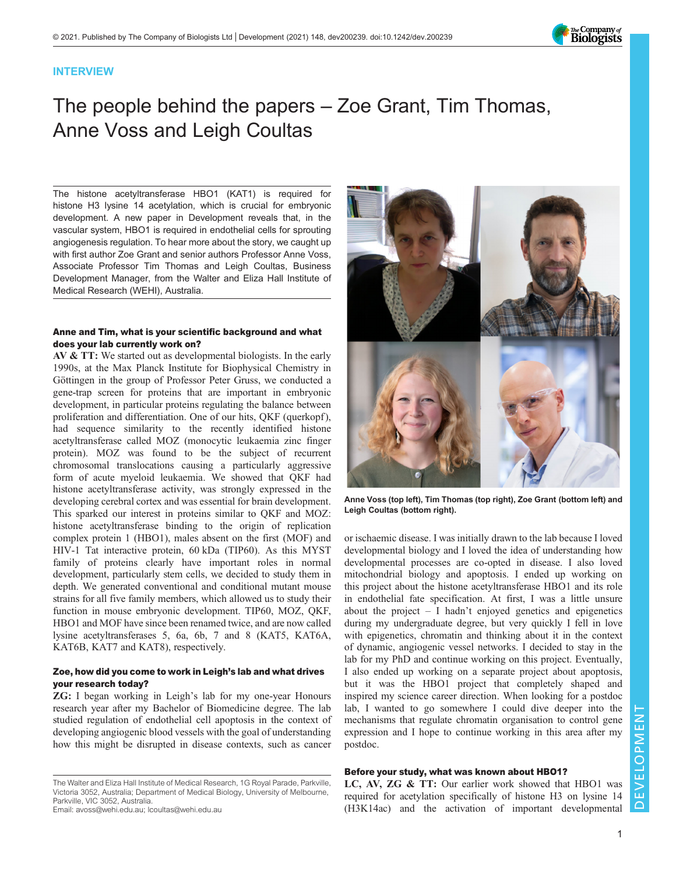

#### INTERVIEW

# The people behind the papers – Zoe Grant, Tim Thomas, Anne Voss and Leigh Coultas

The histone acetyltransferase HBO1 (KAT1) is required for histone H3 lysine 14 acetylation, which is crucial for embryonic development. A [new paper in Development](https://doi.org/10.1242/dev.199581) reveals that, in the vascular system, HBO1 is required in endothelial cells for sprouting angiogenesis regulation. To hear more about the story, we caught up with first author Zoe Grant and senior authors Professor Anne Voss, Associate Professor Tim Thomas and Leigh Coultas, Business Development Manager, from the Walter and Eliza Hall Institute of Medical Research (WEHI), Australia.

#### Anne and Tim, what is your scientific background and what does your lab currently work on?

AV & TT: We started out as developmental biologists. In the early 1990s, at the Max Planck Institute for Biophysical Chemistry in Göttingen in the group of Professor Peter Gruss, we conducted a gene-trap screen for proteins that are important in embryonic development, in particular proteins regulating the balance between proliferation and differentiation. One of our hits, QKF (querkopf), had sequence similarity to the recently identified histone acetyltransferase called MOZ (monocytic leukaemia zinc finger protein). MOZ was found to be the subject of recurrent chromosomal translocations causing a particularly aggressive form of acute myeloid leukaemia. We showed that QKF had histone acetyltransferase activity, was strongly expressed in the developing cerebral cortex and was essential for brain development. This sparked our interest in proteins similar to QKF and MOZ: histone acetyltransferase binding to the origin of replication complex protein 1 (HBO1), males absent on the first (MOF) and HIV-1 Tat interactive protein, 60 kDa (TIP60). As this MYST family of proteins clearly have important roles in normal development, particularly stem cells, we decided to study them in depth. We generated conventional and conditional mutant mouse strains for all five family members, which allowed us to study their function in mouse embryonic development. TIP60, MOZ, QKF, HBO1 and MOF have since been renamed twice, and are now called lysine acetyltransferases 5, 6a, 6b, 7 and 8 (KAT5, KAT6A, KAT6B, KAT7 and KAT8), respectively.

#### Zoe, how did you come to work in Leigh's lab and what drives your research today?

ZG: I began working in Leigh's lab for my one-year Honours research year after my Bachelor of Biomedicine degree. The lab studied regulation of endothelial cell apoptosis in the context of developing angiogenic blood vessels with the goal of understanding how this might be disrupted in disease contexts, such as cancer

The Walter and Eliza Hall Institute of Medical Research, 1G Royal Parade, Parkville, Victoria 3052, Australia; Department of Medical Biology, University of Melbourne, Parkville, VIC 3052, Australia.





Anne Voss (top left), Tim Thomas (top right), Zoe Grant (bottom left) and Leigh Coultas (bottom right).

or ischaemic disease. I was initially drawn to the lab because I loved developmental biology and I loved the idea of understanding how developmental processes are co-opted in disease. I also loved mitochondrial biology and apoptosis. I ended up working on this project about the histone acetyltransferase HBO1 and its role in endothelial fate specification. At first, I was a little unsure about the project  $- I$  hadn't enjoyed genetics and epigenetics during my undergraduate degree, but very quickly I fell in love with epigenetics, chromatin and thinking about it in the context of dynamic, angiogenic vessel networks. I decided to stay in the lab for my PhD and continue working on this project. Eventually, I also ended up working on a separate project about apoptosis, but it was the HBO1 project that completely shaped and inspired my science career direction. When looking for a postdoc lab, I wanted to go somewhere I could dive deeper into the mechanisms that regulate chromatin organisation to control gene expression and I hope to continue working in this area after my postdoc.

#### Before your study, what was known about HBO1?

LC, AV, ZG & TT: Our earlier work showed that HBO1 was required for acetylation specifically of histone H3 on lysine 14 (H3K14ac) and the activation of important developmental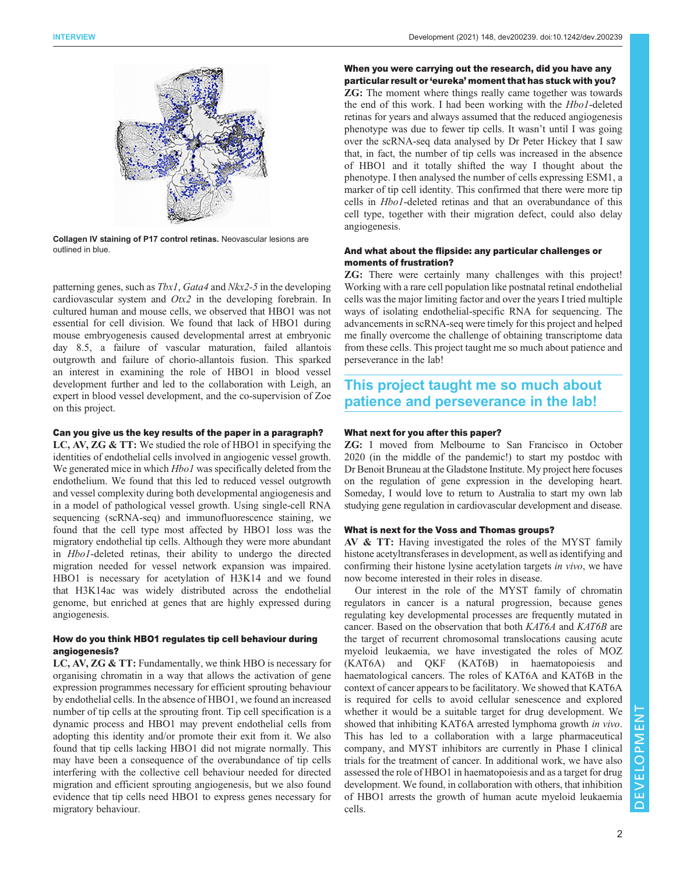

Collagen IV staining of P17 control retinas. Neovascular lesions are outlined in blue.

patterning genes, such as  $Tbx1$ ,  $Gata4$  and  $Nkx2-5$  in the developing cardiovascular system and  $Otx2$  in the developing forebrain. In cultured human and mouse cells, we observed that HBO1 was not essential for cell division. We found that lack of HBO1 during mouse embryogenesis caused developmental arrest at embryonic day 8.5, a failure of vascular maturation, failed allantois outgrowth and failure of chorio-allantois fusion. This sparked an interest in examining the role of HBO1 in blood vessel development further and led to the collaboration with Leigh, an expert in blood vessel development, and the co-supervision of Zoe on this project.

#### Can you give us the key results of the paper in a paragraph?

LC, AV, ZG & TT: We studied the role of HBO1 in specifying the identities of endothelial cells involved in angiogenic vessel growth. We generated mice in which *Hbo1* was specifically deleted from the endothelium. We found that this led to reduced vessel outgrowth and vessel complexity during both developmental angiogenesis and in a model of pathological vessel growth. Using single-cell RNA sequencing (scRNA-seq) and immunofluorescence staining, we found that the cell type most affected by HBO1 loss was the migratory endothelial tip cells. Although they were more abundant in Hbo1-deleted retinas, their ability to undergo the directed migration needed for vessel network expansion was impaired. HBO1 is necessary for acetylation of H3K14 and we found that H3K14ac was widely distributed across the endothelial genome, but enriched at genes that are highly expressed during angiogenesis.

#### How do you think HBO1 regulates tip cell behaviour during angiogenesis?

LC, AV, ZG & TT: Fundamentally, we think HBO is necessary for organising chromatin in a way that allows the activation of gene expression programmes necessary for efficient sprouting behaviour by endothelial cells. In the absence of HBO1, we found an increased number of tip cells at the sprouting front. Tip cell specification is a dynamic process and HBO1 may prevent endothelial cells from adopting this identity and/or promote their exit from it. We also found that tip cells lacking HBO1 did not migrate normally. This may have been a consequence of the overabundance of tip cells interfering with the collective cell behaviour needed for directed migration and efficient sprouting angiogenesis, but we also found evidence that tip cells need HBO1 to express genes necessary for migratory behaviour.

#### When you were carrying out the research, did you have any particular result or 'eureka' moment that has stuck with you?

ZG: The moment where things really came together was towards the end of this work. I had been working with the Hbo1-deleted retinas for years and always assumed that the reduced angiogenesis phenotype was due to fewer tip cells. It wasn't until I was going over the scRNA-seq data analysed by Dr Peter Hickey that I saw that, in fact, the number of tip cells was increased in the absence of HBO1 and it totally shifted the way I thought about the phenotype. I then analysed the number of cells expressing ESM1, a marker of tip cell identity. This confirmed that there were more tip cells in Hbo1-deleted retinas and that an overabundance of this cell type, together with their migration defect, could also delay angiogenesis.

### And what about the flipside: any particular challenges or moments of frustration?

ZG: There were certainly many challenges with this project! Working with a rare cell population like postnatal retinal endothelial cells was the major limiting factor and over the years I tried multiple ways of isolating endothelial-specific RNA for sequencing. The advancements in scRNA-seq were timely for this project and helped me finally overcome the challenge of obtaining transcriptome data from these cells. This project taught me so much about patience and perseverance in the lab!

## This project taught me so much about patience and perseverance in the lab!

#### What next for you after this paper?

ZG: I moved from Melbourne to San Francisco in October 2020 (in the middle of the pandemic!) to start my postdoc with Dr Benoit Bruneau at the Gladstone Institute. My project here focuses on the regulation of gene expression in the developing heart. Someday, I would love to return to Australia to start my own lab studying gene regulation in cardiovascular development and disease.

#### What is next for the Voss and Thomas groups?

AV & TT: Having investigated the roles of the MYST family histone acetyltransferases in development, as well as identifying and confirming their histone lysine acetylation targets in vivo, we have now become interested in their roles in disease.

Our interest in the role of the MYST family of chromatin regulators in cancer is a natural progression, because genes regulating key developmental processes are frequently mutated in cancer. Based on the observation that both KAT6A and KAT6B are the target of recurrent chromosomal translocations causing acute myeloid leukaemia, we have investigated the roles of MOZ (KAT6A) and QKF (KAT6B) in haematopoiesis and haematological cancers. The roles of KAT6A and KAT6B in the context of cancer appears to be facilitatory. We showed that KAT6A is required for cells to avoid cellular senescence and explored whether it would be a suitable target for drug development. We showed that inhibiting KAT6A arrested lymphoma growth *in vivo*. This has led to a collaboration with a large pharmaceutical company, and MYST inhibitors are currently in Phase I clinical trials for the treatment of cancer. In additional work, we have also assessed the role of HBO1 in haematopoiesis and as a target for drug development. We found, in collaboration with others, that inhibition of HBO1 arrests the growth of human acute myeloid leukaemia cells.